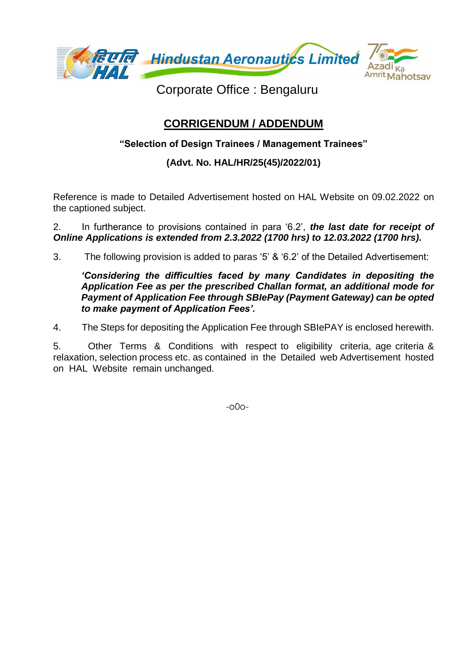

Corporate Office : Bengaluru

## **CORRIGENDUM / ADDENDUM**

## **"Selection of Design Trainees / Management Trainees"**

## **(Advt. No. HAL/HR/25(45)/2022/01)**

Reference is made to Detailed Advertisement hosted on HAL Website on 09.02.2022 on the captioned subject.

2. In furtherance to provisions contained in para '6.2', *the last date for receipt of Online Applications is extended from 2.3.2022 (1700 hrs) to 12.03.2022 (1700 hrs).*

3. The following provision is added to paras '5' & '6.2' of the Detailed Advertisement:

*'Considering the difficulties faced by many Candidates in depositing the Application Fee as per the prescribed Challan format, an additional mode for Payment of Application Fee through SBIePay (Payment Gateway) can be opted to make payment of Application Fees'.* 

4. The Steps for depositing the Application Fee through SBIePAY is enclosed herewith.

5. Other Terms & Conditions with respect to eligibility criteria, age criteria & relaxation, selection process etc. as contained in the Detailed web Advertisement hosted on HAL Website remain unchanged.

-o0o-